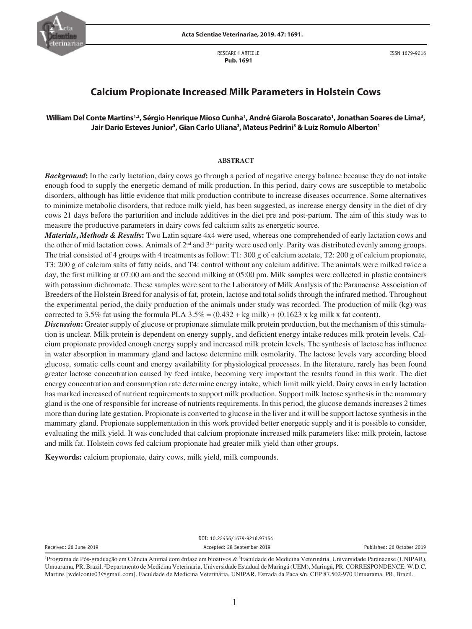

RESEARCH ARTICLE  **Pub. 1691**

ISSN 1679-9216

# **Calcium Propionate Increased Milk Parameters in Holstein Cows**

# William Del Conte Martins<sup>1,2</sup>, Sérgio Henrique Mioso Cunha', André Giarola Boscarato', Jonathan Soares de Lima<sup>3</sup>, **Jair Dario Esteves Junior3 , Gian Carlo Uliana3 , Mateus Pedrini3 &Luiz Romulo Alberton1**

### **ABSTRACT**

*Background***:** In the early lactation, dairy cows go through a period of negative energy balance because they do not intake enough food to supply the energetic demand of milk production. In this period, dairy cows are susceptible to metabolic disorders, although has little evidence that milk production contribute to increase diseases occurrence. Some alternatives to minimize metabolic disorders, that reduce milk yield, has been suggested, as increase energy density in the diet of dry cows 21 days before the parturition and include additives in the diet pre and post-partum. The aim of this study was to measure the productive parameters in dairy cows fed calcium salts as energetic source.

*Materials, Methods & Results***:** Two Latin square 4x4 were used, whereas one comprehended of early lactation cows and the other of mid lactation cows. Animals of  $2^{nd}$  and  $3^{rd}$  parity were used only. Parity was distributed evenly among groups. The trial consisted of 4 groups with 4 treatments as follow: T1: 300 g of calcium acetate, T2: 200 g of calcium propionate, T3: 200 g of calcium salts of fatty acids, and T4: control without any calcium additive. The animals were milked twice a day, the first milking at 07:00 am and the second milking at 05:00 pm. Milk samples were collected in plastic containers with potassium dichromate. These samples were sent to the Laboratory of Milk Analysis of the Paranaense Association of Breeders of the Holstein Breed for analysis of fat, protein, lactose and total solids through the infrared method. Throughout the experimental period, the daily production of the animals under study was recorded. The production of milk (kg) was corrected to 3.5% fat using the formula PLA 3.5% =  $(0.432 + kg$  milk) +  $(0.1623$  x kg milk x fat content).

*Discussion***:** Greater supply of glucose or propionate stimulate milk protein production, but the mechanism of this stimulation is unclear. Milk protein is dependent on energy supply, and deficient energy intake reduces milk protein levels. Calcium propionate provided enough energy supply and increased milk protein levels. The synthesis of lactose has influence in water absorption in mammary gland and lactose determine milk osmolarity. The lactose levels vary according blood glucose, somatic cells count and energy availability for physiological processes. In the literature, rarely has been found greater lactose concentration caused by feed intake, becoming very important the results found in this work. The diet energy concentration and consumption rate determine energy intake, which limit milk yield. Dairy cows in early lactation has marked increased of nutrient requirements to support milk production. Support milk lactose synthesis in the mammary gland is the one of responsible for increase of nutrients requirements. In this period, the glucose demands increases 2 times more than during late gestation. Propionate is converted to glucose in the liver and it will be support lactose synthesis in the mammary gland. Propionate supplementation in this work provided better energetic supply and it is possible to consider, evaluating the milk yield. It was concluded that calcium propionate increased milk parameters like: milk protein, lactose and milk fat. Holstein cows fed calcium propionate had greater milk yield than other groups.

**Keywords:** calcium propionate, dairy cows, milk yield, milk compounds.

DOI: 10.22456/1679-9216.97154 Received: 26 June 2019 Accepted: 28 September 2019 Published: 26 October 2019

<sup>&</sup>lt;sup>1</sup>Programa de Pós-graduação em Ciência Animal com ênfase em bioativos & <sup>3</sup>Faculdade de Medicina Veterinária, Universidade Paranaense (UNIPAR), Umuarama, PR, Brazil. 2 Departmento de Medicina Veterinária, Universidade Estadual de Maringá (UEM), Maringá, PR. CORRESPONDENCE: W.D.C. Martins [wdelconte03@gmail.com]. Faculdade de Medicina Veterinária, UNIPAR. Estrada da Paca s/n. CEP 87.502-970 Umuarama, PR, Brazil.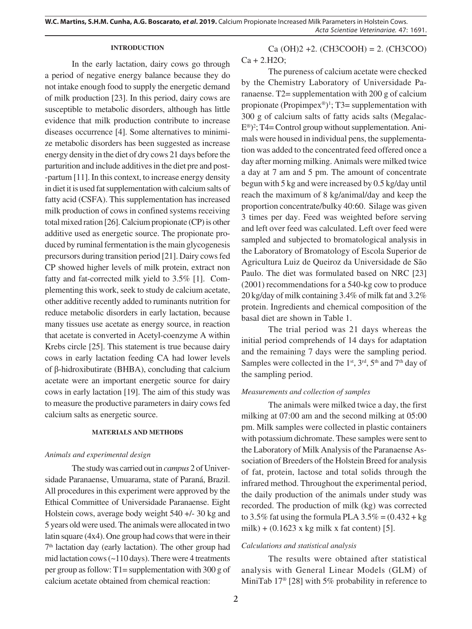## **INTRODUCTION**

In the early lactation, dairy cows go through a period of negative energy balance because they do not intake enough food to supply the energetic demand of milk production [23]. In this period, dairy cows are susceptible to metabolic disorders, although has little evidence that milk production contribute to increase diseases occurrence [4]. Some alternatives to minimize metabolic disorders has been suggested as increase energy density in the diet of dry cows 21 days before the parturition and include additives in the diet pre and post- -partum [11]. In this context, to increase energy density in diet it is used fat supplementation with calcium salts of fatty acid (CSFA). This supplementation has increased milk production of cows in confined systems receiving total mixed ration [26]. Calcium propionate (CP) is other additive used as energetic source. The propionate produced by ruminal fermentation is the main glycogenesis precursors during transition period [21]. Dairy cows fed CP showed higher levels of milk protein, extract non fatty and fat-corrected milk yield to 3.5% [1]. Complementing this work, seek to study de calcium acetate, other additive recently added to ruminants nutrition for reduce metabolic disorders in early lactation, because many tissues use acetate as energy source, in reaction that acetate is converted in Acetyl-coenzyme A within Krebs circle [25]. This statement is true because dairy cows in early lactation feeding CA had lower levels of β-hidroxibutirate (BHBA), concluding that calcium acetate were an important energetic source for dairy cows in early lactation [19]. The aim of this study was to measure the productive parameters in dairy cows fed calcium salts as energetic source.

# **MATERIALS AND METHODS**

#### *Animals and experimental design*

The study was carried out in *campus* 2 of Universidade Paranaense, Umuarama, state of Paraná, Brazil. All procedures in this experiment were approved by the Ethical Committee of Universidade Paranaense. Eight Holstein cows, average body weight 540 +/- 30 kg and 5 years old were used. The animals were allocated in two latin square (4x4). One group had cows that were in their  $7<sup>th</sup>$  lactation day (early lactation). The other group had mid lactation cows (~110 days). There were 4 treatments per group as follow: T1= supplementation with 300 g of calcium acetate obtained from chemical reaction:

 $Ca(OH)2 +2. (CH3COOH) = 2. (CH3COO)$  $Ca + 2.H2O$ ;

The pureness of calcium acetate were checked by the Chemistry Laboratory of Universidade Paranaense. T2= supplementation with 200 g of calcium propionate (Propimpex®)<sup>1</sup>; T3= supplementation with 300 g of calcium salts of fatty acids salts (Megalac-E®) 2 ; T4= Control group without supplementation. Animals were housed in individual pens, the supplementation was added to the concentrated feed offered once a day after morning milking. Animals were milked twice a day at 7 am and 5 pm. The amount of concentrate begun with 5 kg and were increased by 0.5 kg/day until reach the maximum of 8 kg/animal/day and keep the proportion concentrate/bulky 40:60. Silage was given 3 times per day. Feed was weighted before serving and left over feed was calculated. Left over feed were sampled and subjected to bromatological analysis in the Laboratory of Bromatology of Escola Superior de Agricultura Luiz de Queiroz da Universidade de São Paulo. The diet was formulated based on NRC [23] (2001) recommendations for a 540-kg cow to produce 20 kg/day of milk containing 3.4% of milk fat and 3.2% protein. Ingredients and chemical composition of the basal diet are shown in Table 1.

The trial period was 21 days whereas the initial period comprehends of 14 days for adaptation and the remaining 7 days were the sampling period. Samples were collected in the 1<sup>st</sup>,  $3<sup>rd</sup>$ ,  $5<sup>th</sup>$  and  $7<sup>th</sup>$  day of the sampling period.

## *Measurements and collection of samples*

The animals were milked twice a day, the first milking at 07:00 am and the second milking at 05:00 pm. Milk samples were collected in plastic containers with potassium dichromate. These samples were sent to the Laboratory of Milk Analysis of the Paranaense Association of Breeders of the Holstein Breed for analysis of fat, protein, lactose and total solids through the infrared method. Throughout the experimental period, the daily production of the animals under study was recorded. The production of milk (kg) was corrected to 3.5% fat using the formula PLA  $3.5\% = (0.432 + kg)$ milk) +  $(0.1623 \times \text{kg} \text{ milk} \times \text{fat content})$  [5].

## *Calculations and statistical analysis*

The results were obtained after statistical analysis with General Linear Models (GLM) of MiniTab 17<sup>®</sup> [28] with 5% probability in reference to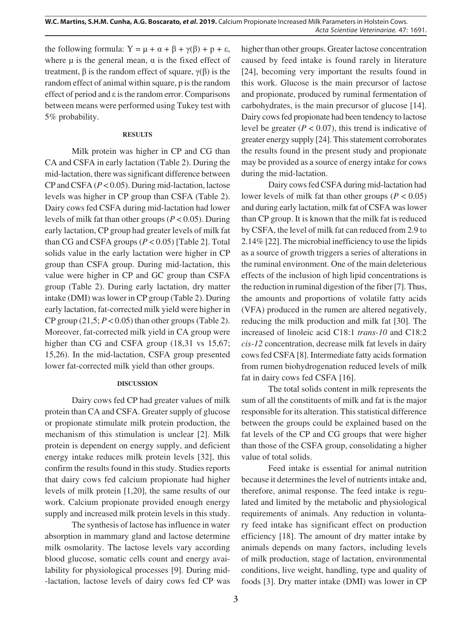the following formula:  $Y = \mu + \alpha + \beta + \gamma(\beta) + p + \varepsilon$ , where  $\mu$  is the general mean,  $\alpha$  is the fixed effect of treatment,  $β$  is the random effect of square,  $γ(β)$  is the random effect of animal within square, p is the random effect of period and ε is the random error. Comparisons between means were performed using Tukey test with 5% probability.

# **RESULTS**

Milk protein was higher in CP and CG than CA and CSFA in early lactation (Table 2). During the mid-lactation, there was significant difference between CP and CSFA (*P* < 0.05). During mid-lactation, lactose levels was higher in CP group than CSFA (Table 2). Dairy cows fed CSFA during mid-lactation had lower levels of milk fat than other groups (*P* < 0.05). During early lactation, CP group had greater levels of milk fat than CG and CSFA groups  $(P < 0.05)$  [Table 2]. Total solids value in the early lactation were higher in CP group than CSFA group. During mid-lactation, this value were higher in CP and GC group than CSFA group (Table 2). During early lactation, dry matter intake (DMI) was lower in CP group (Table 2). During early lactation, fat-corrected milk yield were higher in CP group  $(21,5; P < 0.05)$  than other groups (Table 2). Moreover, fat-corrected milk yield in CA group were higher than CG and CSFA group (18,31 vs 15,67; 15,26). In the mid-lactation, CSFA group presented lower fat-corrected milk yield than other groups.

# **DISCUSSION**

Dairy cows fed CP had greater values of milk protein than CA and CSFA. Greater supply of glucose or propionate stimulate milk protein production, the mechanism of this stimulation is unclear [2]. Milk protein is dependent on energy supply, and deficient energy intake reduces milk protein levels [32], this confirm the results found in this study. Studies reports that dairy cows fed calcium propionate had higher levels of milk protein [1,20], the same results of our work. Calcium propionate provided enough energy supply and increased milk protein levels in this study.

The synthesis of lactose has influence in water absorption in mammary gland and lactose determine milk osmolarity. The lactose levels vary according blood glucose, somatic cells count and energy availability for physiological processes [9]. During mid- -lactation, lactose levels of dairy cows fed CP was higher than other groups. Greater lactose concentration caused by feed intake is found rarely in literature [24], becoming very important the results found in this work. Glucose is the main precursor of lactose and propionate, produced by ruminal fermentation of carbohydrates, is the main precursor of glucose [14]. Dairy cows fed propionate had been tendency to lactose level be greater  $(P < 0.07)$ , this trend is indicative of greater energy supply [24]. This statement corroborates the results found in the present study and propionate may be provided as a source of energy intake for cows during the mid-lactation.

Dairy cows fed CSFA during mid-lactation had lower levels of milk fat than other groups ( $P < 0.05$ ) and during early lactation, milk fat of CSFA was lower than CP group. It is known that the milk fat is reduced by CSFA, the level of milk fat can reduced from 2.9 to 2.14% [22]. The microbial inefficiency to use the lipids as a source of growth triggers a series of alterations in the ruminal environment. One of the main deleterious effects of the inclusion of high lipid concentrations is the reduction in ruminal digestion of the fiber [7]. Thus, the amounts and proportions of volatile fatty acids (VFA) produced in the rumen are altered negatively, reducing the milk production and milk fat [30]. The increased of linoleic acid C18:1 *trans-10* and C18:2 *cis-12* concentration, decrease milk fat levels in dairy cows fed CSFA [8]. Intermediate fatty acids formation from rumen biohydrogenation reduced levels of milk fat in dairy cows fed CSFA [16].

The total solids content in milk represents the sum of all the constituents of milk and fat is the major responsible for its alteration. This statistical difference between the groups could be explained based on the fat levels of the CP and CG groups that were higher than those of the CSFA group, consolidating a higher value of total solids.

Feed intake is essential for animal nutrition because it determines the level of nutrients intake and, therefore, animal response. The feed intake is regulated and limited by the metabolic and physiological requirements of animals. Any reduction in voluntary feed intake has significant effect on production efficiency [18]. The amount of dry matter intake by animals depends on many factors, including levels of milk production, stage of lactation, environmental conditions, live weight, handling, type and quality of foods [3]. Dry matter intake (DMI) was lower in CP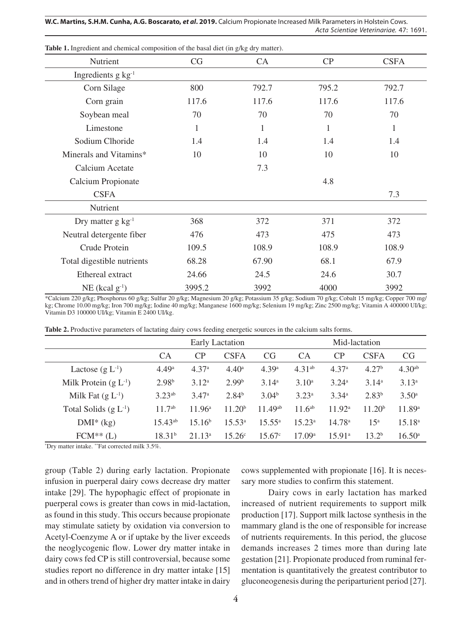**W.C. Martins, S.H.M. Cunha, A.G. Boscarato,** *et al***. 2019.** Calcium Propionate Increased Milk Parameters in Holstein Cows. *Acta Scientiae Veterinariae*. 47: 1691.

| Nutrient                       | CG     | CA    | CP    | <b>CSFA</b>  |
|--------------------------------|--------|-------|-------|--------------|
| Ingredients g kg <sup>-1</sup> |        |       |       |              |
| Corn Silage                    | 800    | 792.7 | 795.2 | 792.7        |
| Corn grain                     | 117.6  | 117.6 | 117.6 | 117.6        |
| Soybean meal                   | 70     | 70    | 70    | 70           |
| Limestone                      | 1      | 1     | 1     | $\mathbf{1}$ |
| Sodium Clhoride                | 1.4    | 1.4   | 1.4   | 1.4          |
| Minerals and Vitamins*         | 10     | 10    | 10    | 10           |
| Calcium Acetate                |        | 7.3   |       |              |
| Calcium Propionate             |        |       | 4.8   |              |
| <b>CSFA</b>                    |        |       |       | 7.3          |
| Nutrient                       |        |       |       |              |
| Dry matter $g \text{ kg}^{-1}$ | 368    | 372   | 371   | 372          |
| Neutral detergente fiber       | 476    | 473   | 475   | 473          |
| Crude Protein                  | 109.5  | 108.9 | 108.9 | 108.9        |
| Total digestible nutrients     | 68.28  | 67.90 | 68.1  | 67.9         |
| Ethereal extract               | 24.66  | 24.5  | 24.6  | 30.7         |
| $NE$ (kcal $g^{-1}$ )          | 3995.2 | 3992  | 4000  | 3992         |

**Table 1.** Ingredient and chemical composition of the basal diet (in g/kg dry matter).

\*Calcium 220 g/kg; Phosphorus 60 g/kg; Sulfur 20 g/kg; Magnesium 20 g/kg; Potassium 35 g/kg; Sodium 70 g/kg; Cobalt 15 mg/kg; Copper 700 mg/ kg; Chrome 10.00 mg/kg; Iron 700 mg/kg; Iodine 40 mg/kg; Manganese 1600 mg/kg; Selenium 19 mg/kg; Zinc 2500 mg/kg; Vitamin A 400000 UI/kg; Vitamin D3 100000 UI/kg; Vitamin E 2400 UI/kg.

|                           | Early Lactation    |                    |                    | Mid-lactation     |                   |                    |                    |                    |
|---------------------------|--------------------|--------------------|--------------------|-------------------|-------------------|--------------------|--------------------|--------------------|
|                           | <b>CA</b>          | CP                 | <b>CSFA</b>        | <b>CG</b>         | <b>CA</b>         | CP                 | <b>CSFA</b>        | <b>CG</b>          |
| Lactose $(g L^{-1})$      | 4.49 <sup>a</sup>  | 4.37 <sup>a</sup>  | 4.40 <sup>a</sup>  | 4.39a             | $4.31^{ab}$       | 4.37 <sup>a</sup>  | 4.27 <sup>b</sup>  | 4.30 <sup>ab</sup> |
| Milk Protein $(g L^{-1})$ | 2.98 <sup>b</sup>  | 3.12 <sup>a</sup>  | 2.99 <sup>b</sup>  | 3.14 <sup>a</sup> | $3.10^a$          | $3.24^{\circ}$     | 3.14 <sup>a</sup>  | 3.13 <sup>a</sup>  |
| Milk Fat $(g L^{-1})$     | $3.23^{ab}$        | 3.47 <sup>a</sup>  | $2.84^{b}$         | 3.04 <sup>b</sup> | 3.23 <sup>a</sup> | 3.34 <sup>a</sup>  | $2.83^{b}$         | $3.50^{\circ}$     |
| Total Solids $(g L^{-1})$ | $11.7^{ab}$        | 11.96 <sup>a</sup> | 11.20 <sup>b</sup> | $11.49^{ab}$      | $11.6^{ab}$       | 11.92 <sup>a</sup> | 11.20 <sup>b</sup> | 11.89a             |
| $DMI^*(kg)$               | $15.43^{ab}$       | 15.16 <sup>b</sup> | $15.53^{\rm a}$    | $15.55^{\circ}$   | $15.23^{\rm a}$   | 14.78 <sup>a</sup> | 15 <sup>a</sup>    | $15.18^{a}$        |
| $FCM^{**}(L)$             | 18.31 <sup>b</sup> | 21.13 <sup>a</sup> | 15.26c             | 15.67c            | 17.09a            | 15.91a             | 13.2 <sup>b</sup>  | 16.50 <sup>a</sup> |

**Table 2.** Productive parameters of lactating dairy cows feeding energetic sources in the calcium salts forms.

\* Dry matter intake. \*\*Fat corrected milk 3.5%.

group (Table 2) during early lactation. Propionate infusion in puerperal dairy cows decrease dry matter intake [29]. The hypophagic effect of propionate in puerperal cows is greater than cows in mid-lactation, as found in this study. This occurs because propionate may stimulate satiety by oxidation via conversion to Acetyl-Coenzyme A or if uptake by the liver exceeds the neoglycogenic flow. Lower dry matter intake in dairy cows fed CP is still controversial, because some studies report no difference in dry matter intake [15] and in others trend of higher dry matter intake in dairy cows supplemented with propionate [16]. It is necessary more studies to confirm this statement.

Dairy cows in early lactation has marked increased of nutrient requirements to support milk production [17]. Support milk lactose synthesis in the mammary gland is the one of responsible for increase of nutrients requirements. In this period, the glucose demands increases 2 times more than during late gestation [21]. Propionate produced from ruminal fermentation is quantitatively the greatest contributor to gluconeogenesis during the periparturient period [27].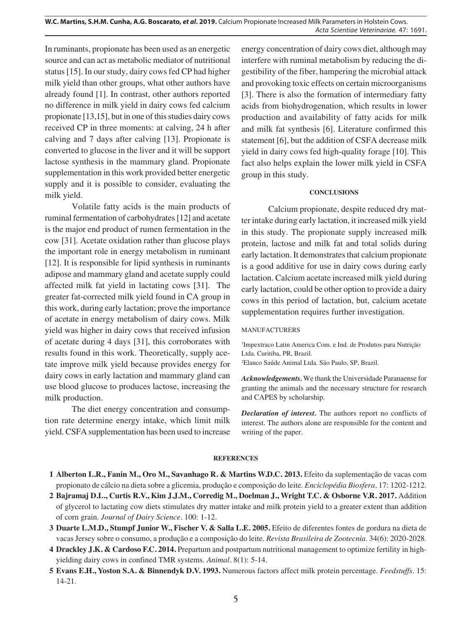**W.C. Martins, S.H.M. Cunha, A.G. Boscarato,** *et al***. 2019.** Calcium Propionate Increased Milk Parameters in Holstein Cows. *Acta Scientiae Veterinariae*. 47: 1691.

In ruminants, propionate has been used as an energetic source and can act as metabolic mediator of nutritional status [15]. In our study, dairy cows fed CP had higher milk yield than other groups, what other authors have already found [1]. In contrast, other authors reported no difference in milk yield in dairy cows fed calcium propionate [13,15], but in one of this studies dairy cows received CP in three moments: at calving, 24 h after calving and 7 days after calving [13]. Propionate is converted to glucose in the liver and it will be support lactose synthesis in the mammary gland. Propionate supplementation in this work provided better energetic supply and it is possible to consider, evaluating the milk yield.

Volatile fatty acids is the main products of ruminal fermentation of carbohydrates [12] and acetate is the major end product of rumen fermentation in the cow [31]. Acetate oxidation rather than glucose plays the important role in energy metabolism in ruminant [12]. It is responsible for lipid synthesis in ruminants adipose and mammary gland and acetate supply could affected milk fat yield in lactating cows [31]. The greater fat-corrected milk yield found in CA group in this work, during early lactation; prove the importance of acetate in energy metabolism of dairy cows. Milk yield was higher in dairy cows that received infusion of acetate during 4 days [31], this corroborates with results found in this work. Theoretically, supply acetate improve milk yield because provides energy for dairy cows in early lactation and mammary gland can use blood glucose to produces lactose, increasing the milk production.

The diet energy concentration and consumption rate determine energy intake, which limit milk yield. CSFA supplementation has been used to increase energy concentration of dairy cows diet, although may interfere with ruminal metabolism by reducing the digestibility of the fiber, hampering the microbial attack and provoking toxic effects on certain microorganisms [3]. There is also the formation of intermediary fatty acids from biohydrogenation, which results in lower production and availability of fatty acids for milk and milk fat synthesis [6]. Literature confirmed this statement [6], but the addition of CSFA decrease milk yield in dairy cows fed high-quality forage [10]. This fact also helps explain the lower milk yield in CSFA group in this study.

#### **CONCLUSIONS**

Calcium propionate, despite reduced dry matter intake during early lactation, it increased milk yield in this study. The propionate supply increased milk protein, lactose and milk fat and total solids during early lactation. It demonstrates that calcium propionate is a good additive for use in dairy cows during early lactation. Calcium acetate increased milk yield during early lactation, could be other option to provide a dairy cows in this period of lactation, but, calcium acetate supplementation requires further investigation.

#### MANUFACTURERS

1 Impextraco Latin America Com. e Ind. de Produtos para Nutrição Ltda. Curitiba, PR, Brazil.

2 Elanco Saúde Animal Ltda. São Paulo, SP, Brazil.

*Acknowledgements.* We thank the Universidade Paranaense for granting the animals and the necessary structure for research and CAPES by scholarship.

*Declaration of interest.* The authors report no conflicts of interest. The authors alone are responsible for the content and writing of the paper.

#### **REFERENCES**

- **1 Alberton L.R., Fanin M., Oro M., Savanhago R. & Martins W.D.C. 2013.** Efeito da suplementação de vacas com propionato de cálcio na dieta sobre a glicemia, produção e composição do leite. *Enciclopédia Biosfera.* 17: 1202-1212.
- **2 Bajramaj D.L., Curtis R.V., Kim J.J.M., Corredig M., Doelman J., Wright T.C. & Osborne V.R. 2017.** Addition of glycerol to lactating cow diets stimulates dry matter intake and milk protein yield to a greater extent than addition of corn grain. *Journal of Dairy Science.* 100: 1-12.
- **3 Duarte L.M.D., Stumpf Junior W., Fischer V. & Salla L.E. 2005.** Efeito de diferentes fontes de gordura na dieta de vacas Jersey sobre o consumo, a produção e a composição do leite. *Revista Brasileira de Zootecnia*. 34(6): 2020-2028.
- **4 Drackley J.K. & Cardoso F.C. 2014.** Prepartum and postpartum nutritional management to optimize fertility in highyielding dairy cows in confined TMR systems. *Animal.* 8(1): 5-14.
- **5 Evans E.H., Yoston S.A. & Binnendyk D.V. 1993.** Numerous factors affect milk protein percentage. *Feedstuffs*. 15: 14-21.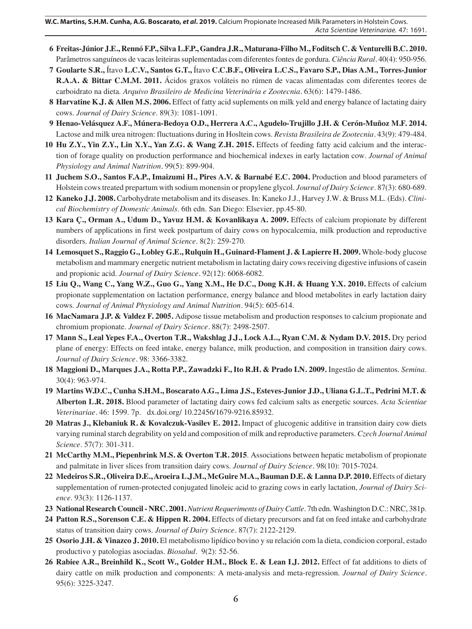- **6 Freitas-Júnior J.E., Rennó F.P., Silva L.F.P., Gandra J.R., Maturana-Filho M., Foditsch C. & Venturelli B.C. 2010.** Parâmetros sanguíneos de vacas leiteiras suplementadas com diferentes fontes de gordura. *Ciência Rural.* 40(4): 950-956.
- **7 Goularte S.R.,** Ítavo **L.C.V., Santos G.T.,** Ítavo **C.C.B.F., Oliveira L.C.S., Favaro S.P., Dias A.M., Torres-Junior R.A.A. & Bittar C.M.M. 2011.** Ácidos graxos voláteis no rúmen de vacas alimentadas com diferentes teores de carboidrato na dieta. *Arquivo Brasileiro de Medicina Veterinária e Zootecnia.* 63(6): 1479-1486.
- **8 Harvatine K.J. & Allen M.S. 2006.** Effect of fatty acid suplements on milk yeld and energy balance of lactating dairy cows. *Journal of Dairy Science*. 89(3): 1081-1091.
- **9 Henao-Velásquez A.F., Múnera-Bedoya O.D., Herrera A.C., Agudelo-Trujillo J.H. & Cerón-Muñoz M.F. 2014.** Lactose and milk urea nitrogen: fluctuations during in Hosltein cows. *Revista Brasileira de Zootecnia.* 43(9): 479-484.
- **10 Hu Z.Y., Yin Z.Y., Lin X.Y., Yan Z.G. & Wang Z.H. 2015.** Effects of feeding fatty acid calcium and the interaction of forage quality on production performance and biochemical indexes in early lactation cow. *Journal of Animal Physiology and Animal Nutrition.* 99(5): 899-904.
- **11 Juchem S.O., Santos F.A.P., Imaizumi H., Pires A.V. & Barnabé E.C. 2004.** Production and blood parameters of Holstein cows treated prepartum with sodium monensin or propylene glycol. *Journal of Dairy Science*. 87(3): 680-689.
- **12 Kaneko J.J. 2008.** Carbohydrate metabolism and its diseases. In: Kaneko J.J., Harvey J.W. & Bruss M.L. (Eds). *Clinical Biochemistry of Domestic Animals*. 6th edn. San Diego: Elsevier, pp.45-80.
- **13 Kara Ç., Orman A., Udum D., Yavuz H.M. & Kovanlikaya A. 2009.** Effects of calcium propionate by different numbers of applications in first week postpartum of dairy cows on hypocalcemia, milk production and reproductive disorders. *Italian Journal of Animal Science*. 8(2): 259-270.
- **14 Lemosquet S., Raggio G., Lobley G.E., Rulquin H., Guinard-Flament J. & Lapierre H. 2009.** Whole-body glucose metabolism and mammary energetic nutrient metabolism in lactating dairy cows receiving digestive infusions of casein and propionic acid. *Journal of Dairy Science.* 92(12): 6068-6082.
- **15 Liu Q., Wang C., Yang W.Z., Guo G., Yang X.M., He D.C., Dong K.H. & Huang Y.X. 2010.** Effects of calcium propionate supplementation on lactation performance, energy balance and blood metabolites in early lactation dairy cows. *Journal of Animal Physiology and Animal Nutrition.* 94(5): 605-614.
- **16 MacNamara J.P. & Valdez F. 2005.** Adipose tissue metabolism and production responses to calcium propionate and chromium propionate. *Journal of Dairy Science.* 88(7): 2498-2507.
- **17 Mann S., Leal Yepes F.A., Overton T.R., Wakshlag J.J., Lock A.L., Ryan C.M. & Nydam D.V. 2015.** Dry period plane of energy: Effects on feed intake, energy balance, milk production, and composition in transition dairy cows. *Journal of Dairy Science.* 98: 3366-3382.
- **18 Maggioni D., Marques J.A., Rotta P.P., Zawadzki F., Ito R.H. & Prado I.N. 2009.** Ingestão de alimentos. *Semina*. 30(4): 963-974.
- **19 Martins W.D.C., Cunha S.H.M., Boscarato A.G., Lima J.S., Esteves-Junior J.D., Uliana G.L.T., Pedrini M.T. & Alberton L.R. 2018.** Blood parameter of lactating dairy cows fed calcium salts as energetic sources. *Acta Scientiae Veterinariae.* 46: 1599. 7p. dx.doi.org/ 10.22456/1679-9216.85932.
- **20 Matras J., Klebaniuk R. & Kovalczuk-Vasilev E. 2012.** Impact of glucogenic additive in transition dairy cow diets varying ruminal starch degrability on yeld and composition of milk and reproductive parameters. *Czech Journal Animal Science*. 57(7): 301-311.
- **21 McCarthy M.M., Piepenbrink M.S. & Overton T.R. 2015**. Associations between hepatic metabolism of propionate and palmitate in liver slices from transition dairy cows. *Journal of Dairy Science.* 98(10): 7015-7024.
- **22 Medeiros S.R., Oliveira D.E., Aroeira L.J.M., McGuire M.A., Bauman D.E. & Lanna D.P. 2010.** Effects of dietary supplementation of rumen-protected conjugated linoleic acid to grazing cows in early lactation, *Journal of Dairy Science*. 93(3): 1126-1137.
- **23 National Research Council NRC. 2001.***Nutrient Requeriments of Dairy Cattle*. 7th edn. Washington D.C.: NRC, 381p.
- **24 Patton R.S., Sorenson C.E. & Hippen R. 2004.** Effects of dietary precursors and fat on feed intake and carbohydrate status of transition dairy cows. *Journal of Dairy Science.* 87(7): 2122-2129.
- **25 Osorio J.H. & Vinazco J. 2010.** El metabolismo lipídico bovino y su relación com la dieta, condicion corporal, estado productivo y patologias asociadas. *Biosalud.* 9(2): 52-56.
- **26 Rabiee A.R., Breinhild K., Scott W., Golder H.M., Block E. & Lean I.J. 2012.** Effect of fat additions to diets of dairy cattle on milk production and components: A meta-analysis and meta-regression. *Journal of Dairy Science.* 95(6): 3225-3247.